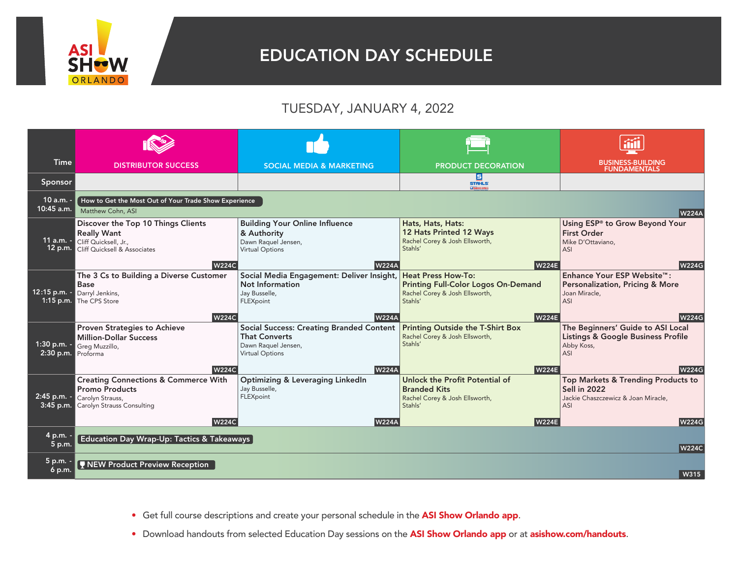

## EDUCATION DAY SCHEDULE

## TUESDAY, JANUARY 4, 2022

| <b>Time</b>                         | <b>DISTRIBUTOR SUCCESS</b>                                                                                                                        | <b>SOCIAL MEDIA &amp; MARKETING</b>                                                                                                      | <b>PRODUCT DECORATION</b>                                                                                                            | <b>BUSINESS-BUILDING</b><br><b>FUNDAMENTALS</b>                                                                         |
|-------------------------------------|---------------------------------------------------------------------------------------------------------------------------------------------------|------------------------------------------------------------------------------------------------------------------------------------------|--------------------------------------------------------------------------------------------------------------------------------------|-------------------------------------------------------------------------------------------------------------------------|
| Sponsor                             |                                                                                                                                                   |                                                                                                                                          | 圓<br><b>STAHLS:</b><br><b>LA TRANSFER EXPRESS</b>                                                                                    |                                                                                                                         |
| 10 a.m. -<br>10:45 a.m.             | How to Get the Most Out of Your Trade Show Experience<br>Matthew Cohn, ASI                                                                        |                                                                                                                                          |                                                                                                                                      | <b>W224A</b>                                                                                                            |
| 11 a.m. $-$                         | Discover the Top 10 Things Clients<br><b>Really Want</b><br>Cliff Quicksell, Jr.,<br>12 p.m. Cliff Quicksell & Associates<br><b>W224C</b>         | <b>Building Your Online Influence</b><br>& Authority<br>Dawn Raquel Jensen,<br><b>Virtual Options</b><br><b>W224A</b>                    | Hats, Hats, Hats:<br>12 Hats Printed 12 Ways<br>Rachel Corey & Josh Ellsworth,<br>Stahls'<br><b>W224E</b>                            | Using ESP <sup>®</sup> to Grow Beyond Your<br><b>First Order</b><br>Mike D'Ottaviano,<br>ASI<br><b>W224G</b>            |
| 12:15 p.m. -                        | The 3 Cs to Building a Diverse Customer<br><b>Base</b><br>Darryl Jenkins,<br>1:15 p.m. The CPS Store<br><b>W224C</b>                              | Social Media Engagement: Deliver Insight,<br>Not Information<br>Jay Busselle,<br>FLEXpoint<br><b>W224A</b>                               | <b>Heat Press How-To:</b><br><b>Printing Full-Color Logos On-Demand</b><br>Rachel Corey & Josh Ellsworth,<br>Stahls'<br><b>W224E</b> | Enhance Your ESP Website™:<br><b>Personalization, Pricing &amp; More</b><br>Joan Miracle,<br>ASI<br><b>W224G</b>        |
| $1:30 p.m. -$<br>2:30 p.m. Proforma | <b>Proven Strategies to Achieve</b><br><b>Million-Dollar Success</b><br>Greg Muzzillo,<br><b>W224C</b>                                            | <b>Social Success: Creating Branded Content</b><br><b>That Converts</b><br>Dawn Raquel Jensen,<br><b>Virtual Options</b><br><b>W224A</b> | <b>Printing Outside the T-Shirt Box</b><br>Rachel Corey & Josh Ellsworth,<br>Stahls'<br><b>W224E</b>                                 | The Beginners' Guide to ASI Local<br><b>Listings &amp; Google Business Profile</b><br>Abby Koss,<br>ASI<br><b>W224G</b> |
| 2:45 p.m. -<br>$3:45$ p.m.          | <b>Creating Connections &amp; Commerce With</b><br><b>Promo Products</b><br>Carolyn Strauss,<br><b>Carolyn Strauss Consulting</b><br><b>W224C</b> | <b>Optimizing &amp; Leveraging LinkedIn</b><br>Jay Busselle,<br>FLEXpoint<br><b>W224A</b>                                                | Unlock the Profit Potential of<br><b>Branded Kits</b><br>Rachel Corey & Josh Ellsworth,<br>Stahls'<br><b>W224E</b>                   | Top Markets & Trending Products to<br>Sell in 2022<br>Jackie Chaszczewicz & Joan Miracle.<br><b>ASI</b><br><b>W224G</b> |
| 4 p.m. -<br>5 p.m.                  | Education Day Wrap-Up: Tactics & Takeaways                                                                                                        |                                                                                                                                          |                                                                                                                                      | <b>W224C</b>                                                                                                            |
| 5 p.m.<br>$6$ p.m.                  | NEW Product Preview Reception                                                                                                                     |                                                                                                                                          |                                                                                                                                      | W315                                                                                                                    |

- Get full course descriptions and create your personal schedule in the ASI Show Orlando app.
- Download handouts from selected Education Day sessions on the ASI Show Orlando app or at asishow.com/handouts.